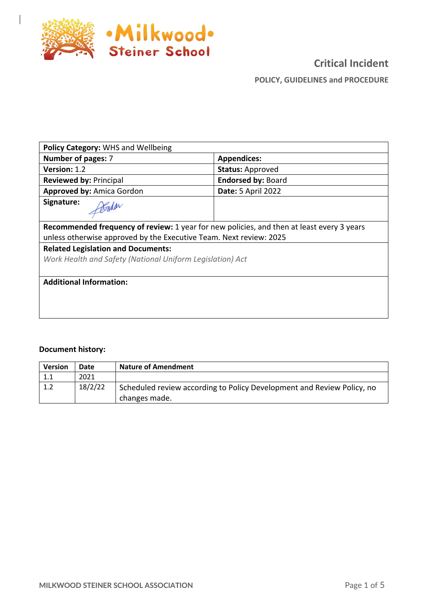

 $\overline{\phantom{a}}$ 

# **Critical Incident POLICY, GUIDELINES and PROCEDURE**

| <b>Policy Category: WHS and Wellbeing</b>                                                              |                           |  |  |
|--------------------------------------------------------------------------------------------------------|---------------------------|--|--|
| Number of pages: 7                                                                                     | <b>Appendices:</b>        |  |  |
| <b>Version: 1.2</b>                                                                                    | <b>Status: Approved</b>   |  |  |
| <b>Reviewed by: Principal</b>                                                                          | <b>Endorsed by: Board</b> |  |  |
| <b>Approved by: Amica Gordon</b>                                                                       | <b>Date: 5 April 2022</b> |  |  |
| Signature:                                                                                             |                           |  |  |
| Recommended frequency of review: 1 year for new policies, and then at least every 3 years              |                           |  |  |
| unless otherwise approved by the Executive Team. Next review: 2025                                     |                           |  |  |
| <b>Related Legislation and Documents:</b><br>Work Health and Safety (National Uniform Legislation) Act |                           |  |  |
| <b>Additional Information:</b>                                                                         |                           |  |  |
|                                                                                                        |                           |  |  |
|                                                                                                        |                           |  |  |

#### **Document history:**

| <b>Version</b> | Date    | <b>Nature of Amendment</b>                                                              |
|----------------|---------|-----------------------------------------------------------------------------------------|
| 1.1            | 2021    |                                                                                         |
| 1.2            | 18/2/22 | Scheduled review according to Policy Development and Review Policy, no<br>changes made. |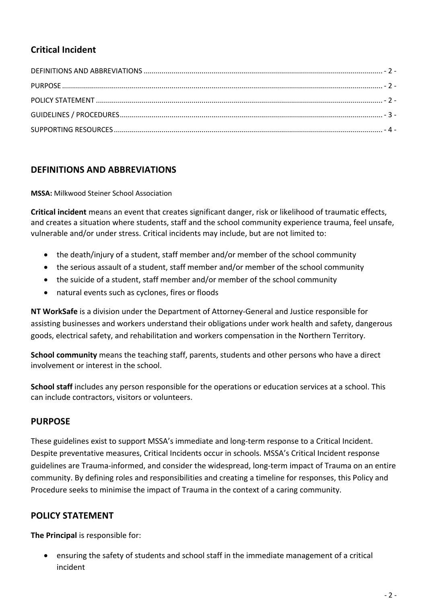## **Critical Incident**

## **DEFINITIONS AND ABBREVIATIONS**

**MSSA:** Milkwood Steiner School Association

**Critical incident** means an event that creates significant danger, risk or likelihood of traumatic effects, and creates a situation where students, staff and the school community experience trauma, feel unsafe, vulnerable and/or under stress. Critical incidents may include, but are not limited to:

- the death/injury of a student, staff member and/or member of the school community
- the serious assault of a student, staff member and/or member of the school community
- the suicide of a student, staff member and/or member of the school community
- natural events such as cyclones, fires or floods

**NT WorkSafe** is a division under the Department of Attorney-General and Justice responsible for assisting businesses and workers understand their obligations under work health and safety, dangerous goods, electrical safety, and rehabilitation and workers compensation in the Northern Territory.

**School community** means the teaching staff, parents, students and other persons who have a direct involvement or interest in the school.

**School staff** includes any person responsible for the operations or education services at a school. This can include contractors, visitors or volunteers.

## **PURPOSE**

These guidelines exist to support MSSA's immediate and long-term response to a Critical Incident. Despite preventative measures, Critical Incidents occur in schools. MSSA's Critical Incident response guidelines are Trauma-informed, and consider the widespread, long-term impact of Trauma on an entire community. By defining roles and responsibilities and creating a timeline for responses, this Policy and Procedure seeks to minimise the impact of Trauma in the context of a caring community.

## **POLICY STATEMENT**

**The Principal** is responsible for:

• ensuring the safety of students and school staff in the immediate management of a critical incident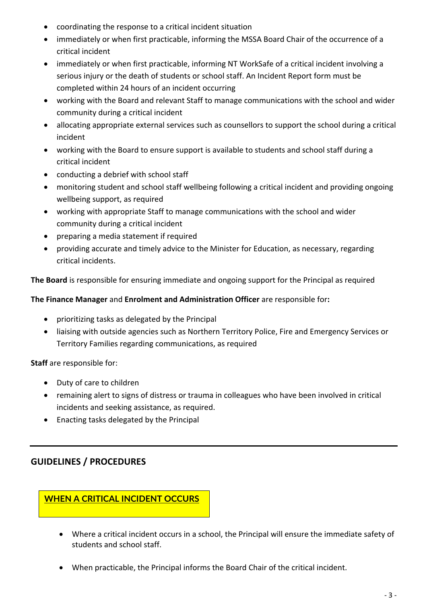- coordinating the response to a critical incident situation
- immediately or when first practicable, informing the MSSA Board Chair of the occurrence of a critical incident
- immediately or when first practicable, informing NT WorkSafe of a critical incident involving a serious injury or the death of students or school staff. An Incident Report form must be completed within 24 hours of an incident occurring
- working with the Board and relevant Staff to manage communications with the school and wider community during a critical incident
- allocating appropriate external services such as counsellors to support the school during a critical incident
- working with the Board to ensure support is available to students and school staff during a critical incident
- conducting a debrief with school staff
- monitoring student and school staff wellbeing following a critical incident and providing ongoing wellbeing support, as required
- working with appropriate Staff to manage communications with the school and wider community during a critical incident
- preparing a media statement if required
- providing accurate and timely advice to the Minister for Education, as necessary, regarding critical incidents.

**The Board** is responsible for ensuring immediate and ongoing support for the Principal as required

#### **The Finance Manager** and **Enrolment and Administration Officer** are responsible for**:**

- prioritizing tasks as delegated by the Principal
- liaising with outside agencies such as Northern Territory Police, Fire and Emergency Services or Territory Families regarding communications, as required

**Staff** are responsible for:

- Duty of care to children
- remaining alert to signs of distress or trauma in colleagues who have been involved in critical incidents and seeking assistance, as required.
- Enacting tasks delegated by the Principal

## **GUIDELINES / PROCEDURES**

## **WHEN A CRITICAL INCIDENT OCCURS**

- Where a critical incident occurs in a school, the Principal will ensure the immediate safety of students and school staff.
- When practicable, the Principal informs the Board Chair of the critical incident.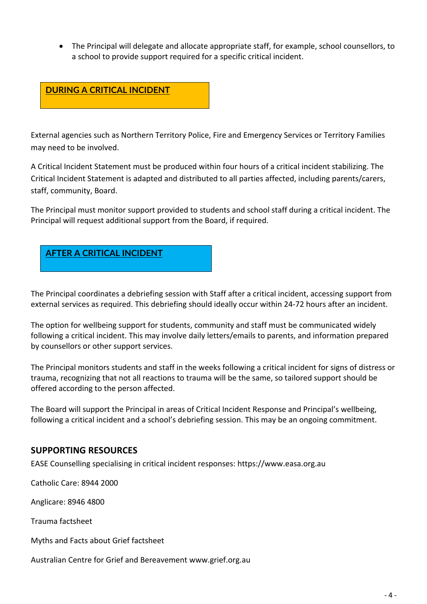• The Principal will delegate and allocate appropriate staff, for example, school counsellors, to a school to provide support required for a specific critical incident.



External agencies such as Northern Territory Police, Fire and Emergency Services or Territory Families may need to be involved.

A Critical Incident Statement must be produced within four hours of a critical incident stabilizing. The Critical Incident Statement is adapted and distributed to all parties affected, including parents/carers, staff, community, Board.

The Principal must monitor support provided to students and school staff during a critical incident. The Principal will request additional support from the Board, if required.



The Principal coordinates a debriefing session with Staff after a critical incident, accessing support from external services as required. This debriefing should ideally occur within 24-72 hours after an incident.

The option for wellbeing support for students, community and staff must be communicated widely following a critical incident. This may involve daily letters/emails to parents, and information prepared by counsellors or other support services.

The Principal monitors students and staff in the weeks following a critical incident for signs of distress or trauma, recognizing that not all reactions to trauma will be the same, so tailored support should be offered according to the person affected.

The Board will support the Principal in areas of Critical Incident Response and Principal's wellbeing, following a critical incident and a school's debriefing session. This may be an ongoing commitment.

#### **SUPPORTING RESOURCES**

EASE Counselling specialising in critical incident responses: https://www.easa.org.au

Catholic Care: 8944 2000

Anglicare: 8946 4800

Trauma factsheet

Myths and Facts about Grief factsheet

Australian Centre for Grief and Bereavement www.grief.org.au